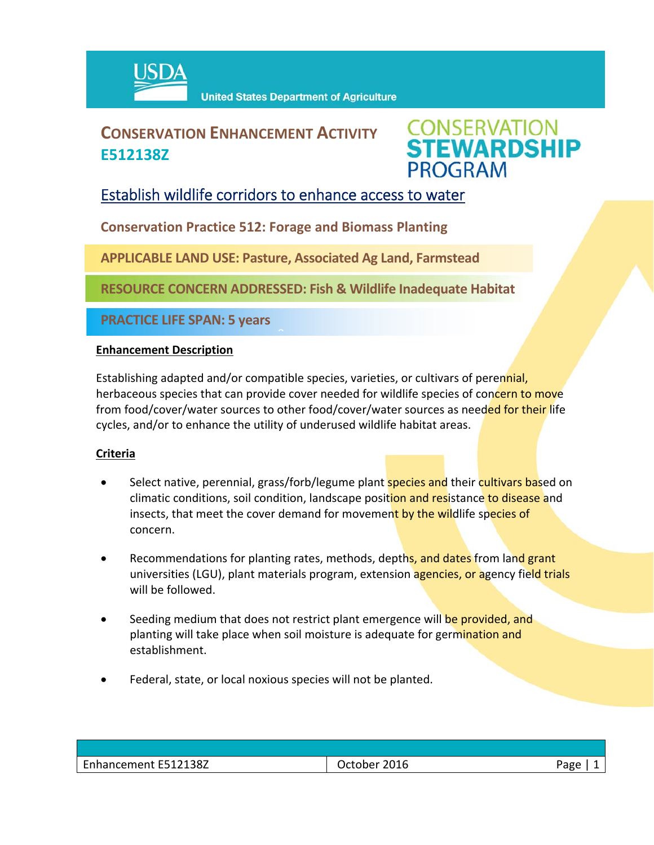

# **CONSERVATION ENHANCEMENT ACTIVITY E512138Z**



## Establish wildlife corridors to enhance access to water

**Conservation Practice 512: Forage and Biomass Planting**

**APPLICABLE LAND USE: Pasture, Associated Ag Land, Farmstead**

 $\hat{a}$ 

**RESOURCE CONCERN ADDRESSED: Fish & Wildlife Inadequate Habitat** 

**PRACTICE LIFE SPAN: 5 years**

### **Enhancement Description**

Establishing adapted and/or compatible species, varieties, or cultivars of perennial, herbaceous species that can provide cover needed for wildlife species of concern to move from food/cover/water sources to other food/cover/water sources as needed for their life cycles, and/or to enhance the utility of underused wildlife habitat areas.

### **Criteria**

- Select native, perennial, grass/forb/legume plant **species and** their cultivars based on climatic conditions, soil condition, landscape position and resistance to disease and insects, that meet the cover demand for movement by the wildlife species of concern.
- Recommendations for planting rates, methods, depths, and dates from land grant universities (LGU), plant materials program, extension agencies, or agency field trials will be followed.
- Seeding medium that does not restrict plant emergence will be provided, and planting will take place when soil moisture is adequate for germination and establishment.
- Federal, state, or local noxious species will not be planted.

| 2016<br>.<br>___ | $- - - -$<br>ave<br>ີ<br>- |
|------------------|----------------------------|
|                  |                            |